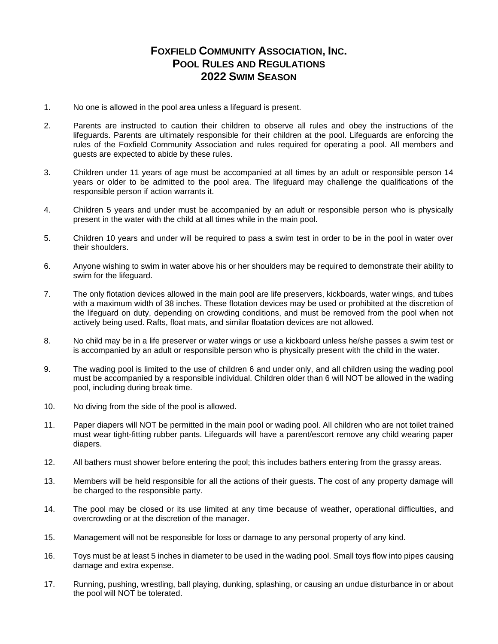## **FOXFIELD COMMUNITY ASSOCIATION, INC. POOL RULES AND REGULATIONS 2022 SWIM SEASON**

- 1. No one is allowed in the pool area unless a lifeguard is present.
- 2. Parents are instructed to caution their children to observe all rules and obey the instructions of the lifeguards. Parents are ultimately responsible for their children at the pool. Lifeguards are enforcing the rules of the Foxfield Community Association and rules required for operating a pool. All members and guests are expected to abide by these rules.
- 3. Children under 11 years of age must be accompanied at all times by an adult or responsible person 14 years or older to be admitted to the pool area. The lifeguard may challenge the qualifications of the responsible person if action warrants it.
- 4. Children 5 years and under must be accompanied by an adult or responsible person who is physically present in the water with the child at all times while in the main pool.
- 5. Children 10 years and under will be required to pass a swim test in order to be in the pool in water over their shoulders.
- 6. Anyone wishing to swim in water above his or her shoulders may be required to demonstrate their ability to swim for the lifeguard.
- 7. The only flotation devices allowed in the main pool are life preservers, kickboards, water wings, and tubes with a maximum width of 38 inches. These flotation devices may be used or prohibited at the discretion of the lifeguard on duty, depending on crowding conditions, and must be removed from the pool when not actively being used. Rafts, float mats, and similar floatation devices are not allowed.
- 8. No child may be in a life preserver or water wings or use a kickboard unless he/she passes a swim test or is accompanied by an adult or responsible person who is physically present with the child in the water.
- 9. The wading pool is limited to the use of children 6 and under only, and all children using the wading pool must be accompanied by a responsible individual. Children older than 6 will NOT be allowed in the wading pool, including during break time.
- 10. No diving from the side of the pool is allowed.
- 11. Paper diapers will NOT be permitted in the main pool or wading pool. All children who are not toilet trained must wear tight-fitting rubber pants. Lifeguards will have a parent/escort remove any child wearing paper diapers.
- 12. All bathers must shower before entering the pool; this includes bathers entering from the grassy areas.
- 13. Members will be held responsible for all the actions of their guests. The cost of any property damage will be charged to the responsible party.
- 14. The pool may be closed or its use limited at any time because of weather, operational difficulties, and overcrowding or at the discretion of the manager.
- 15. Management will not be responsible for loss or damage to any personal property of any kind.
- 16. Toys must be at least 5 inches in diameter to be used in the wading pool. Small toys flow into pipes causing damage and extra expense.
- 17. Running, pushing, wrestling, ball playing, dunking, splashing, or causing an undue disturbance in or about the pool will NOT be tolerated.